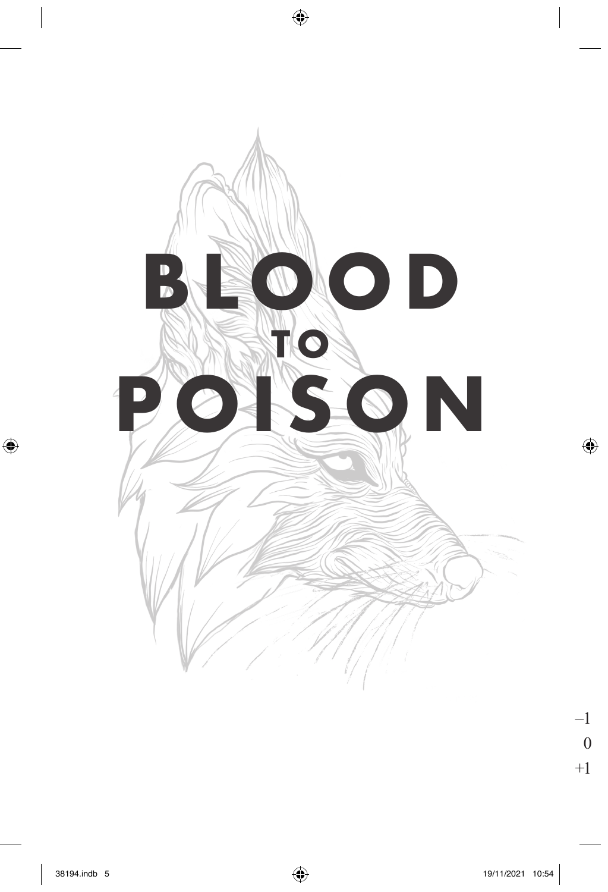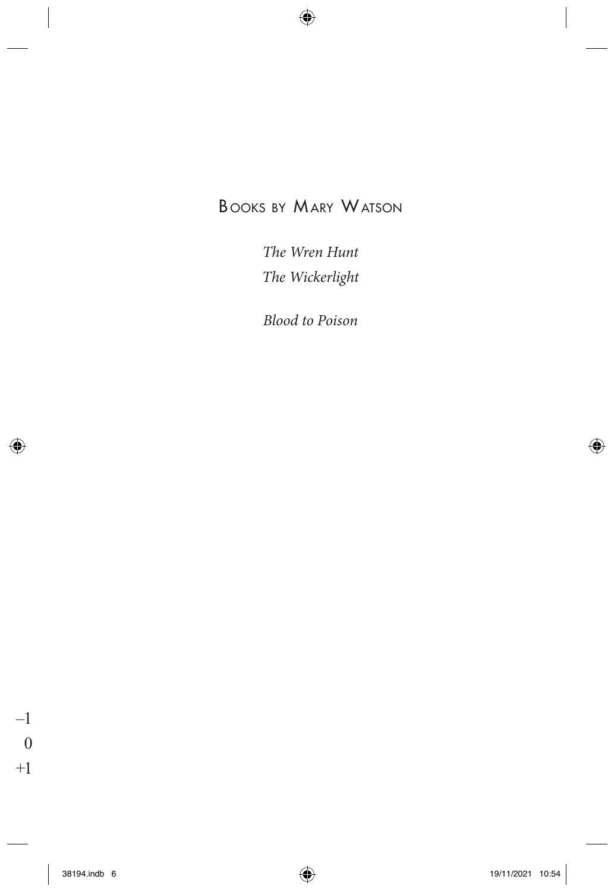### **BOOKS BY MARY WATSON**

The Wren Hunt The Wickerlight

**Blood to Poison**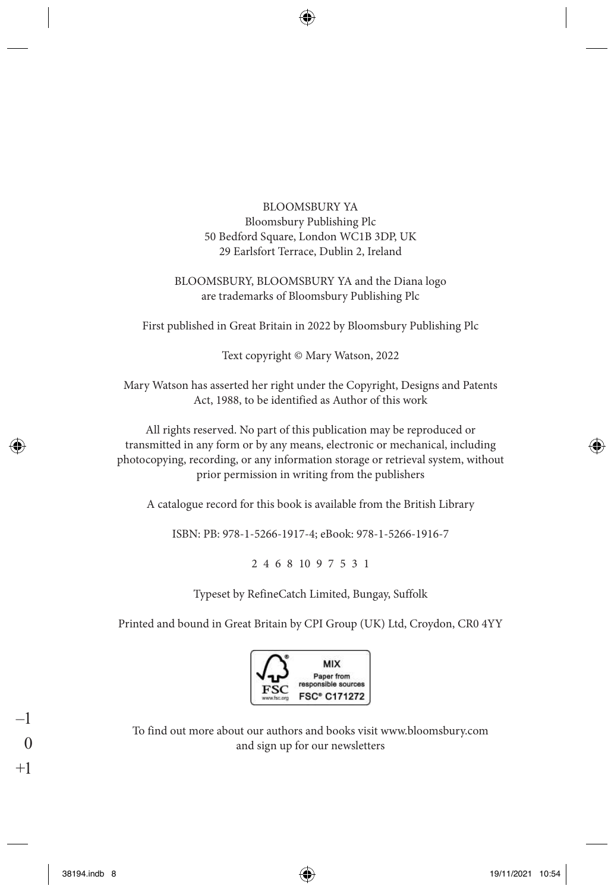#### BLOOMSBURY YA Bloomsbury Publishing Plc 50 Bedford Square, London WC1B 3DP, UK 29 Earlsfort Terrace, Dublin 2, Ireland

#### BLOOMSBURY, BLOOMSBURY YA and the Diana logo are trademarks of Bloomsbury Publishing Plc

First published in Great Britain in 2022 by Bloomsbury Publishing Plc

Text copyright © Mary Watson, 2022

Mary Watson has asserted her right under the Copyright, Designs and Patents Act, 1988, to be identified as Author of this work

All rights reserved. No part of this publication may be reproduced or transmitted in any form or by any means, electronic or mechanical, including photocopying, recording, or any information storage or retrieval system, without prior permission in writing from the publishers

A catalogue record for this book is available from the British Library

ISBN: PB: 978-1-5266-1917-4; eBook: 978-1-5266-1916-7

2 4 6 8 10 9 7 5 3 1

Typeset by RefineCatch Limited, Bungay, Suffolk

Printed and bound in Great Britain by CPI Group (UK) Ltd, Croydon, CR0 4YY



To find out more about our authors and books visit www.bloomsbury.com and sign up for our newsletters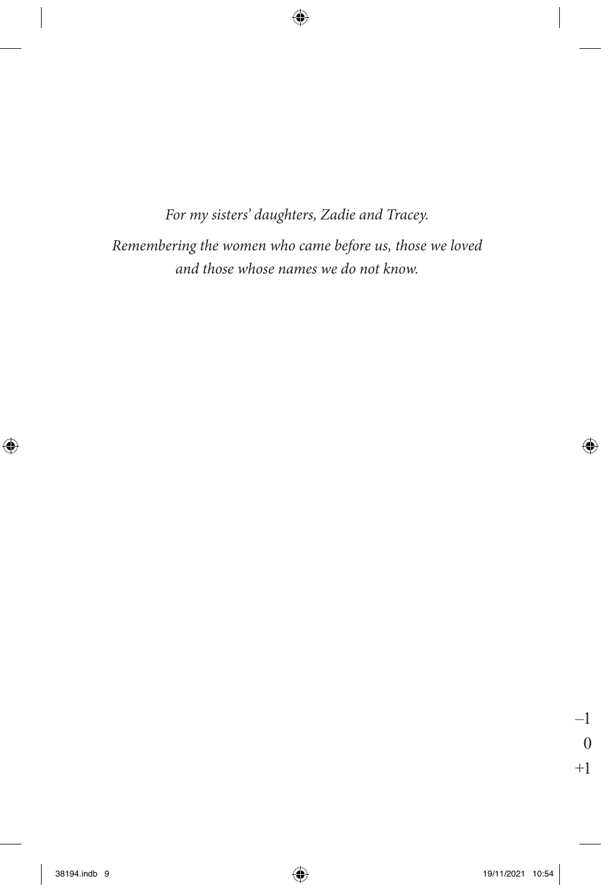*For my sisters' daughters, Zadie and Tracey. Remembering the women who came before us, those we loved*

*and those whose names we do not know.*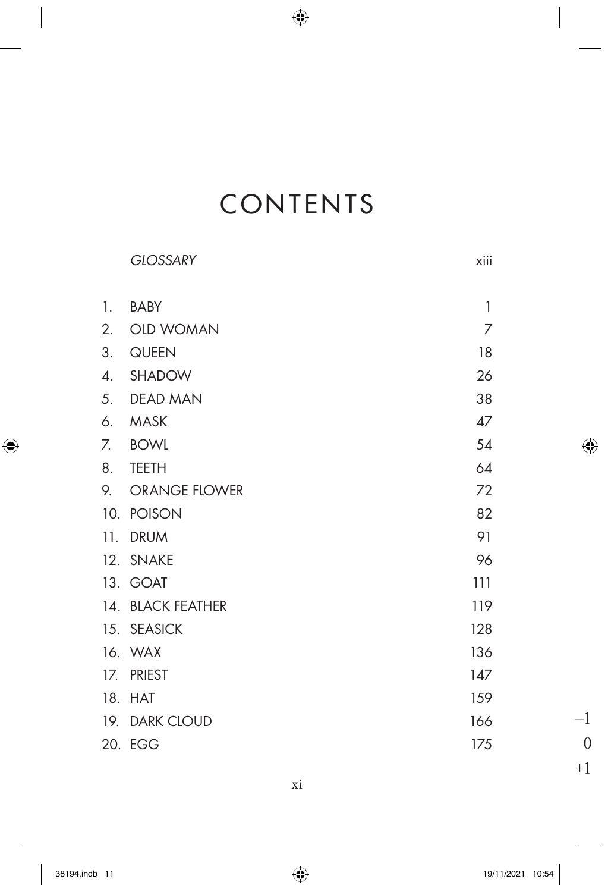# CONTENTS

|     | <b>GLOSSARY</b>      | xiii         |
|-----|----------------------|--------------|
| 1.  | <b>BABY</b>          | $\mathbf{1}$ |
| 2.  | <b>OLD WOMAN</b>     | 7            |
| 3.  | QUEEN                | 18           |
| 4.  | SHADOW               | 26           |
|     | 5. DEAD MAN          | 38           |
| 6.  | <b>MASK</b>          | 47           |
| 7.  | BOWL                 | 54           |
| 8.  | <b>TEETH</b>         | 64           |
| 9.  | <b>ORANGE FLOWER</b> | 72           |
| 10. | <b>POISON</b>        | 82           |
| 11. | <b>DRUM</b>          | 91           |
| 12. | <b>SNAKE</b>         | 96           |
|     | 13. GOAT             | 111          |
|     | 14. BLACK FEATHER    | 119          |
|     | 15. SEASICK          | 128          |
|     | 16. WAX              | 136          |
| 17. | <b>PRIEST</b>        | 147          |
| 18. | <b>HAT</b>           | 159          |
| 19. | <b>DARK CLOUD</b>    | 166          |
|     | 20. EGG              | 175          |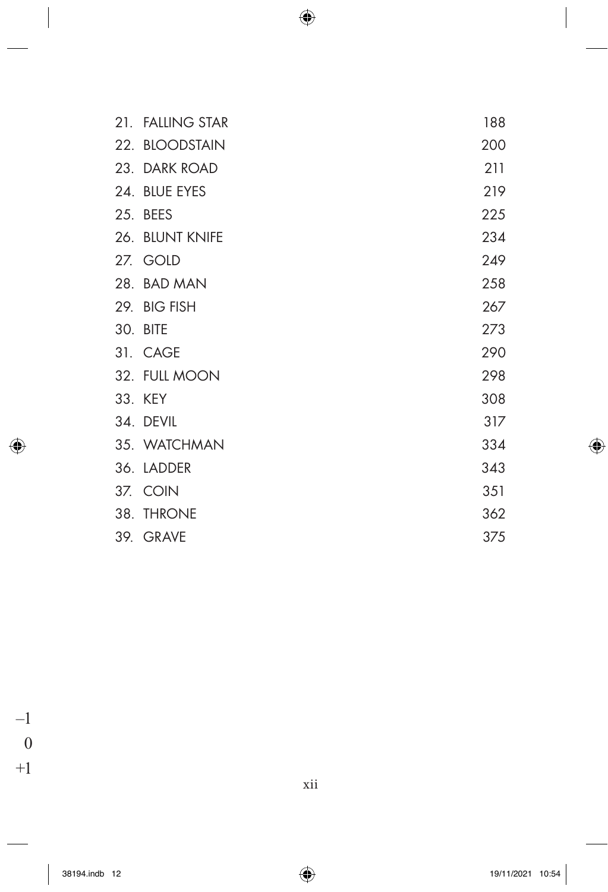| 21. FALLING STAR | 188 |
|------------------|-----|
| 22. BLOODSTAIN   | 200 |
| 23. DARK ROAD    | 211 |
| 24. BLUE EYES    | 219 |
| 25. BEES         | 225 |
| 26. BLUNT KNIFE  | 234 |
| 27. GOLD         | 249 |
| 28. BAD MAN      | 258 |
| 29. BIG FISH     | 267 |
| 30. BITE         | 273 |
| 31. CAGE         | 290 |
| 32. FULL MOON    | 298 |
| 33. KEY          | 308 |
| 34. DEVIL        | 317 |
| 35. WATCHMAN     | 334 |
| 36. LADDER       | 343 |
| 37. COIN         | 351 |
| 38. THRONE       | 362 |
| 39. GRAVE        | 375 |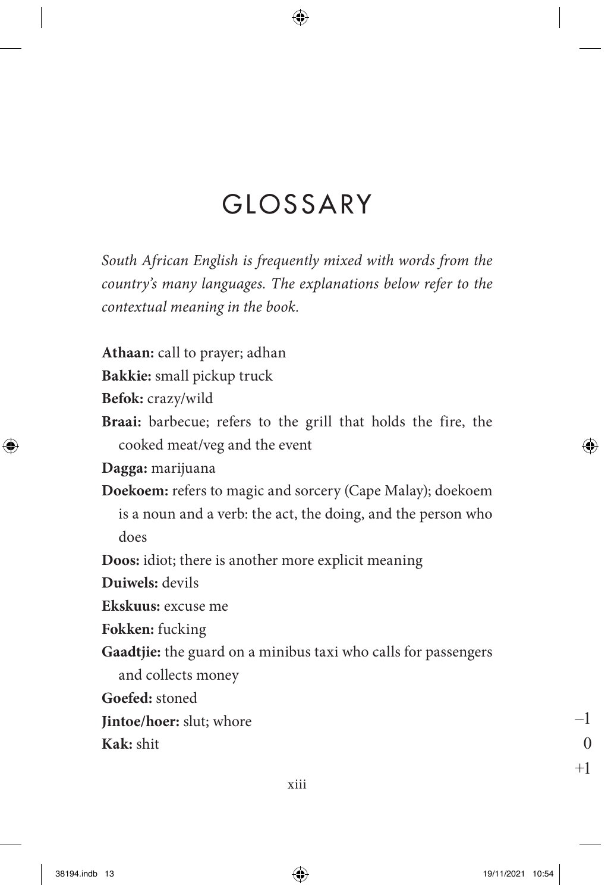### GLOSSARY

*South African English is frequently mixed with words from the country's many languages. The explanations below refer to the contextual meaning in the book.*

**Athaan:** call to prayer; adhan

**Bakkie:** small pickup truck

**Befok:** crazy/wild

**Braai:** barbecue; refers to the grill that holds the fire, the cooked meat/veg and the event

**Dagga:** marijuana

**Doekoem:** refers to magic and sorcery (Cape Malay); doekoem is a noun and a verb: the act, the doing, and the person who does

**Doos:** idiot; there is another more explicit meaning

**Duiwels:** devils

**Ekskuus:** excuse me

**Fokken:** fucking

**Gaadtjie:** the guard on a minibus taxi who calls for passengers and collects money

**Goefed:** stoned

**Jintoe/hoer:** slut; whore

**Kak:** shit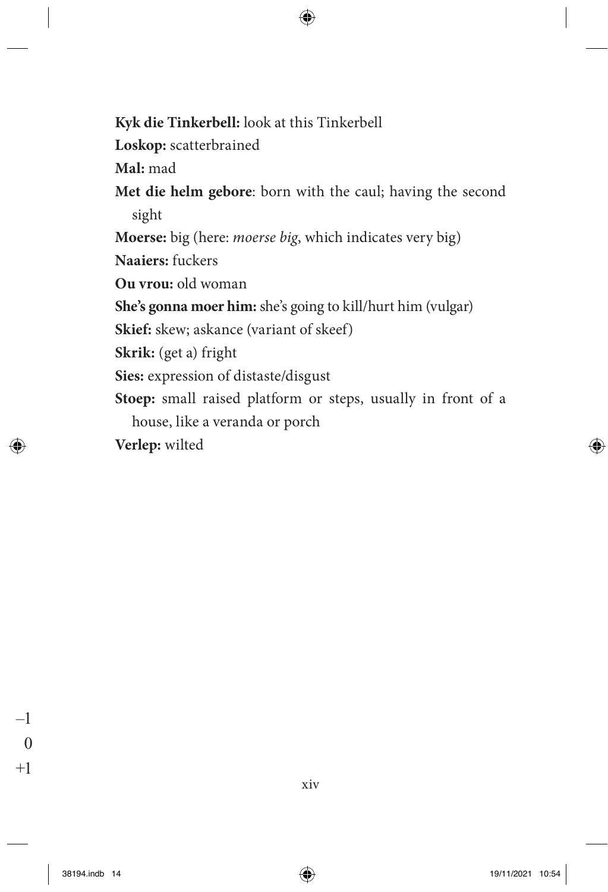**Kyk die Tinkerbell:** look at this Tinkerbell **Loskop:** scatterbrained **Mal:** mad **Met die helm gebore**: born with the caul; having the second sight **Moerse:** big (here: *moerse big*, which indicates very big) **Naaiers:** fuckers **Ou vrou:** old woman **She's gonna moer him:** she's going to kill/hurt him (vulgar) **Skief:** skew; askance (variant of skeef) **Skrik:** (get a) fright **Sies:** expression of distaste/disgust **Stoep:** small raised platform or steps, usually in front of a house, like a veranda or porch **Verlep:** wilted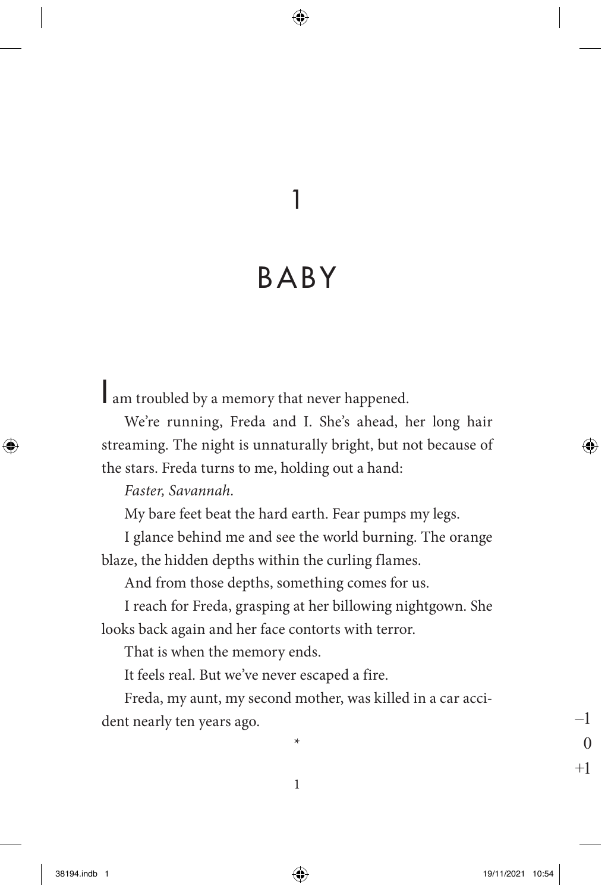### 1

## Baby

I am troubled by a memory that never happened.

We're running, Freda and I. She's ahead, her long hair streaming. The night is unnaturally bright, but not because of the stars. Freda turns to me, holding out a hand:

*Faster, Savannah.*

My bare feet beat the hard earth. Fear pumps my legs.

I glance behind me and see the world burning. The orange blaze, the hidden depths within the curling flames.

And from those depths, something comes for us.

I reach for Freda, grasping at her billowing nightgown. She looks back again and her face contorts with terror.

That is when the memory ends.

It feels real. But we've never escaped a fire.

Freda, my aunt, my second mother, was killed in a car accident nearly ten years ago.

\*

1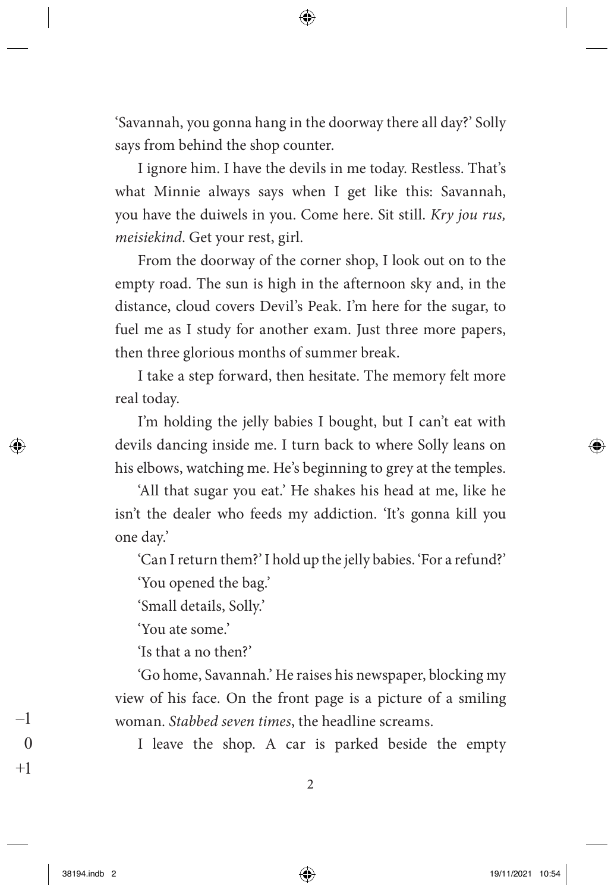'Savannah, you gonna hang in the doorway there all day?' Solly says from behind the shop counter.

I ignore him. I have the devils in me today. Restless. That's what Minnie always says when I get like this: Savannah, you have the duiwels in you. Come here. Sit still. *Kry jou rus, meisiekind*. Get your rest, girl.

From the doorway of the corner shop, I look out on to the empty road. The sun is high in the afternoon sky and, in the distance, cloud covers Devil's Peak. I'm here for the sugar, to fuel me as I study for another exam. Just three more papers, then three glorious months of summer break.

I take a step forward, then hesitate. The memory felt more real today.

I'm holding the jelly babies I bought, but I can't eat with devils dancing inside me. I turn back to where Solly leans on his elbows, watching me. He's beginning to grey at the temples.

'All that sugar you eat.' He shakes his head at me, like he isn't the dealer who feeds my addiction. 'It's gonna kill you one day.'

'Can I return them?' I hold up the jelly babies. 'For a refund?'

'You opened the bag.'

'Small details, Solly.'

'You ate some.'

'Is that a no then?'

'Go home, Savannah.' He raises his newspaper, blocking my view of his face. On the front page is a picture of a smiling woman. *Stabbed seven times*, the headline screams.

I leave the shop. A car is parked beside the empty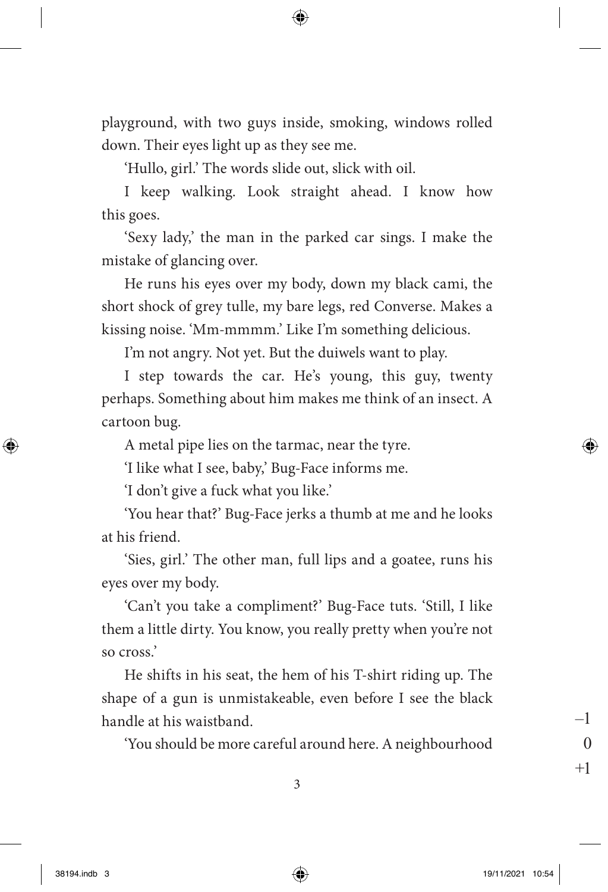playground, with two guys inside, smoking, windows rolled down. Their eyes light up as they see me.

'Hullo, girl.' The words slide out, slick with oil.

I keep walking. Look straight ahead. I know how this goes.

'Sexy lady,' the man in the parked car sings. I make the mistake of glancing over.

He runs his eyes over my body, down my black cami, the short shock of grey tulle, my bare legs, red Converse. Makes a kissing noise. 'Mm-mmmm.' Like I'm something delicious.

I'm not angry. Not yet. But the duiwels want to play.

I step towards the car. He's young, this guy, twenty perhaps. Something about him makes me think of an insect. A cartoon bug.

A metal pipe lies on the tarmac, near the tyre.

'I like what I see, baby,' Bug-Face informs me.

'I don't give a fuck what you like.'

'You hear that?' Bug-Face jerks a thumb at me and he looks at his friend.

'Sies, girl.' The other man, full lips and a goatee, runs his eyes over my body.

'Can't you take a compliment?' Bug-Face tuts. 'Still, I like them a little dirty. You know, you really pretty when you're not so cross.'

He shifts in his seat, the hem of his T-shirt riding up. The shape of a gun is unmistakeable, even before I see the black handle at his waistband.

'You should be more careful around here. A neighbourhood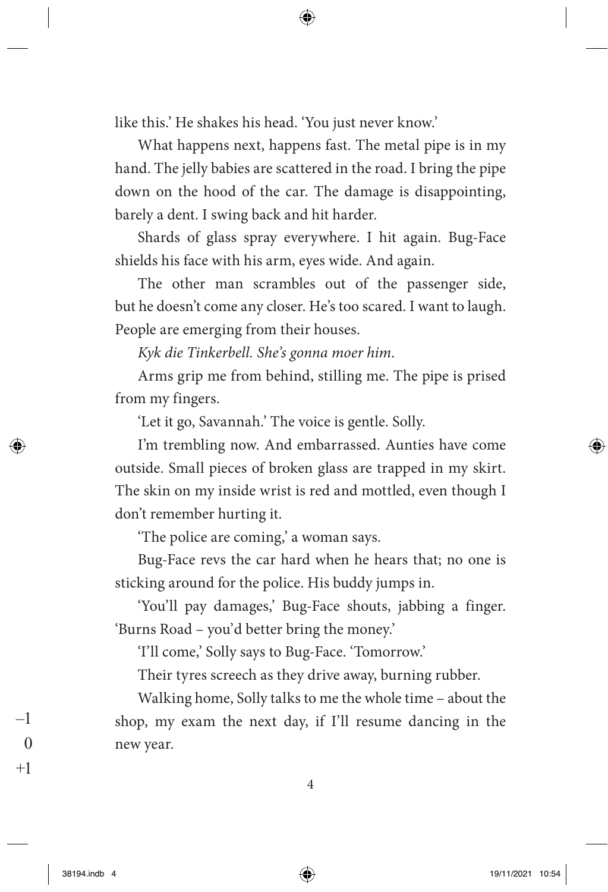like this.' He shakes his head. 'You just never know.'

What happens next, happens fast. The metal pipe is in my hand. The jelly babies are scattered in the road. I bring the pipe down on the hood of the car. The damage is disappointing, barely a dent. I swing back and hit harder.

Shards of glass spray everywhere. I hit again. Bug-Face shields his face with his arm, eyes wide. And again.

The other man scrambles out of the passenger side, but he doesn't come any closer. He's too scared. I want to laugh. People are emerging from their houses.

*Kyk die Tinkerbell. She's gonna moer him*.

Arms grip me from behind, stilling me. The pipe is prised from my fingers.

'Let it go, Savannah.' The voice is gentle. Solly.

I'm trembling now. And embarrassed. Aunties have come outside. Small pieces of broken glass are trapped in my skirt. The skin on my inside wrist is red and mottled, even though I don't remember hurting it.

'The police are coming,' a woman says.

Bug-Face revs the car hard when he hears that; no one is sticking around for the police. His buddy jumps in.

'You'll pay damages,' Bug-Face shouts, jabbing a finger. 'Burns Road – you'd better bring the money.'

'I'll come,' Solly says to Bug-Face. 'Tomorrow.'

Their tyres screech as they drive away, burning rubber.

Walking home, Solly talks to me the whole time – about the shop, my exam the next day, if I'll resume dancing in the new year.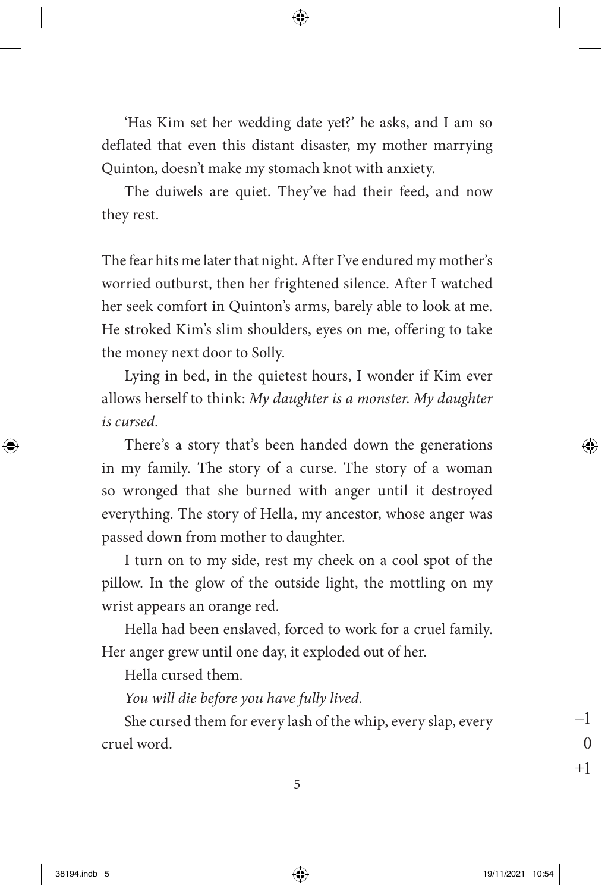'Has Kim set her wedding date yet?' he asks, and I am so deflated that even this distant disaster, my mother marrying Quinton, doesn't make my stomach knot with anxiety.

The duiwels are quiet. They've had their feed, and now they rest.

The fear hits me later that night. After I've endured my mother's worried outburst, then her frightened silence. After I watched her seek comfort in Quinton's arms, barely able to look at me. He stroked Kim's slim shoulders, eyes on me, offering to take the money next door to Solly.

Lying in bed, in the quietest hours, I wonder if Kim ever allows herself to think: *My daughter is a monster*. *My daughter is cursed.*

There's a story that's been handed down the generations in my family. The story of a curse. The story of a woman so wronged that she burned with anger until it destroyed everything. The story of Hella, my ancestor, whose anger was passed down from mother to daughter.

I turn on to my side, rest my cheek on a cool spot of the pillow. In the glow of the outside light, the mottling on my wrist appears an orange red.

Hella had been enslaved, forced to work for a cruel family. Her anger grew until one day, it exploded out of her.

Hella cursed them.

*You will die before you have fully lived.*

She cursed them for every lash of the whip, every slap, every cruel word.